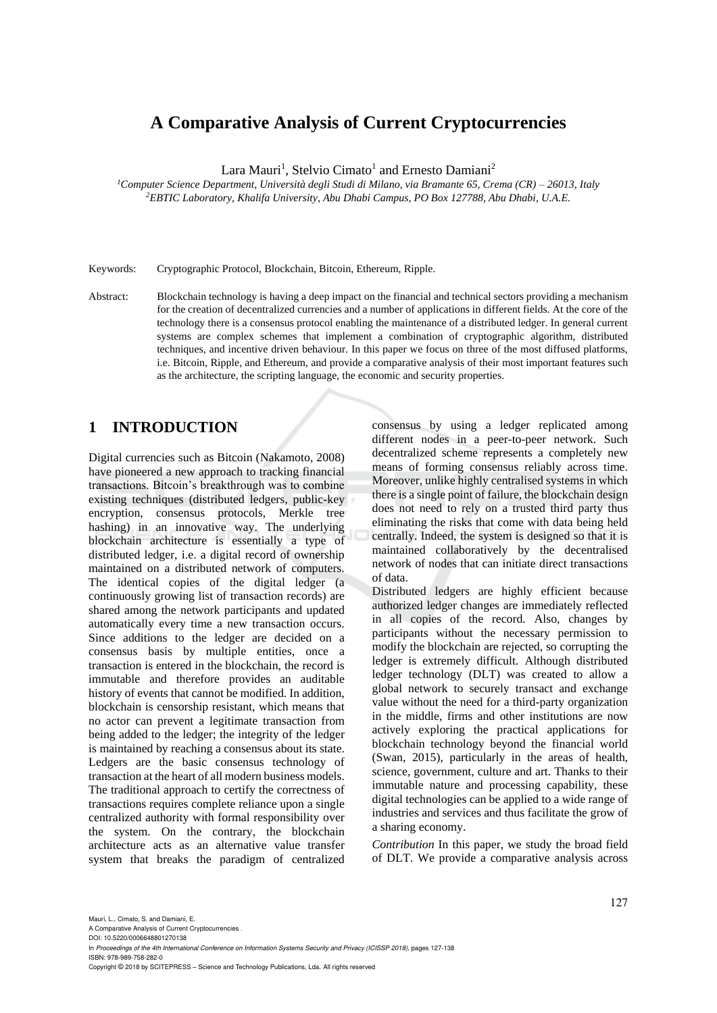# **A Comparative Analysis of Current Cryptocurrencies**

Lara Mauri<sup>1</sup>, Stelvio Cimato<sup>1</sup> and Ernesto Damiani<sup>2</sup>

*<sup>1</sup>Computer Science Department, Università degli Studi di Milano, via Bramante 65, Crema (CR) – 26013, Italy <sup>2</sup>EBTIC Laboratory, Khalifa University, Abu Dhabi Campus, PO Box 127788, Abu Dhabi, U.A.E.*

Keywords: Cryptographic Protocol, Blockchain, Bitcoin, Ethereum, Ripple.

Abstract: Blockchain technology is having a deep impact on the financial and technical sectors providing a mechanism for the creation of decentralized currencies and a number of applications in different fields. At the core of the technology there is a consensus protocol enabling the maintenance of a distributed ledger. In general current systems are complex schemes that implement a combination of cryptographic algorithm, distributed techniques, and incentive driven behaviour. In this paper we focus on three of the most diffused platforms, i.e. Bitcoin, Ripple, and Ethereum, and provide a comparative analysis of their most important features such as the architecture, the scripting language, the economic and security properties.

# **1 INTRODUCTION**

Digital currencies such as Bitcoin (Nakamoto, 2008) have pioneered a new approach to tracking financial transactions. Bitcoin's breakthrough was to combine existing techniques (distributed ledgers, public-key encryption, consensus protocols, Merkle tree hashing) in an innovative way. The underlying blockchain architecture is essentially a type of distributed ledger, i.e. a digital record of ownership maintained on a distributed network of computers. The identical copies of the digital ledger (a continuously growing list of transaction records) are shared among the network participants and updated automatically every time a new transaction occurs. Since additions to the ledger are decided on a consensus basis by multiple entities, once a transaction is entered in the blockchain, the record is immutable and therefore provides an auditable history of events that cannot be modified. In addition, blockchain is censorship resistant, which means that no actor can prevent a legitimate transaction from being added to the ledger; the integrity of the ledger is maintained by reaching a consensus about its state. Ledgers are the basic consensus technology of transaction at the heart of all modern business models. The traditional approach to certify the correctness of transactions requires complete reliance upon a single centralized authority with formal responsibility over the system. On the contrary, the blockchain architecture acts as an alternative value transfer system that breaks the paradigm of centralized

consensus by using a ledger replicated among different nodes in a peer-to-peer network. Such decentralized scheme represents a completely new means of forming consensus reliably across time. Moreover, unlike highly centralised systems in which there is a single point of failure, the blockchain design does not need to rely on a trusted third party thus eliminating the risks that come with data being held centrally. Indeed, the system is designed so that it is maintained collaboratively by the decentralised network of nodes that can initiate direct transactions of data.

Distributed ledgers are highly efficient because authorized ledger changes are immediately reflected in all copies of the record. Also, changes by participants without the necessary permission to modify the blockchain are rejected, so corrupting the ledger is extremely difficult. Although distributed ledger technology (DLT) was created to allow a global network to securely transact and exchange value without the need for a third-party organization in the middle, firms and other institutions are now actively exploring the practical applications for blockchain technology beyond the financial world (Swan, 2015), particularly in the areas of health, science, government, culture and art. Thanks to their immutable nature and processing capability, these digital technologies can be applied to a wide range of industries and services and thus facilitate the grow of a sharing economy.

*Contribution* In this paper, we study the broad field of DLT. We provide a comparative analysis across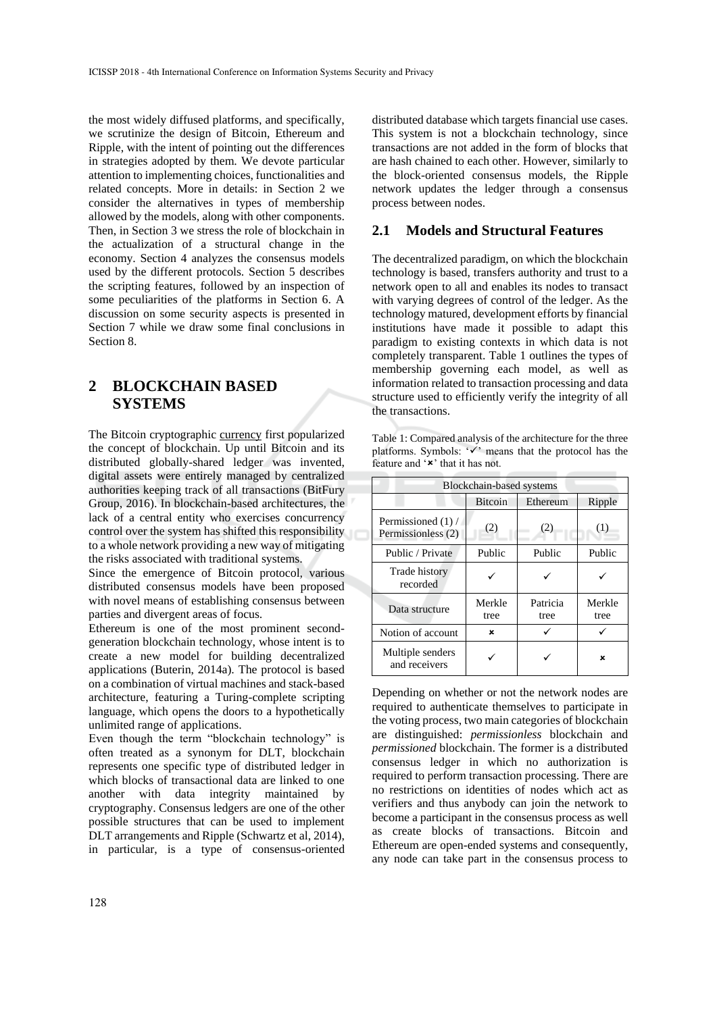the most widely diffused platforms, and specifically, we scrutinize the design of Bitcoin, Ethereum and Ripple, with the intent of pointing out the differences in strategies adopted by them. We devote particular attention to implementing choices, functionalities and related concepts. More in details: in Section 2 we consider the alternatives in types of membership allowed by the models, along with other components. Then, in Section 3 we stress the role of blockchain in the actualization of a structural change in the economy. Section 4 analyzes the consensus models used by the different protocols. Section 5 describes the scripting features, followed by an inspection of some peculiarities of the platforms in Section 6. A discussion on some security aspects is presented in Section 7 while we draw some final conclusions in Section 8.

# **2 BLOCKCHAIN BASED SYSTEMS**

The Bitcoin cryptographic currency first popularized the concept of blockchain. Up until Bitcoin and its distributed globally-shared ledger was invented, digital assets were entirely managed by centralized authorities keeping track of all transactions (BitFury Group, 2016). In blockchain-based architectures, the lack of a central entity who exercises concurrency control over the system has shifted this responsibility to a whole network providing a new way of mitigating the risks associated with traditional systems.

Since the emergence of Bitcoin protocol, various distributed consensus models have been proposed with novel means of establishing consensus between parties and divergent areas of focus.

Ethereum is one of the most prominent secondgeneration blockchain technology, whose intent is to create a new model for building decentralized applications (Buterin, 2014a). The protocol is based on a combination of virtual machines and stack-based architecture, featuring a Turing-complete scripting language, which opens the doors to a hypothetically unlimited range of applications.

Even though the term "blockchain technology" is often treated as a synonym for DLT, blockchain represents one specific type of distributed ledger in which blocks of transactional data are linked to one another with data integrity maintained by cryptography. Consensus ledgers are one of the other possible structures that can be used to implement DLT arrangements and Ripple (Schwartz et al, 2014), in particular, is a type of consensus-oriented

distributed database which targets financial use cases. This system is not a blockchain technology, since transactions are not added in the form of blocks that are hash chained to each other. However, similarly to the block-oriented consensus models, the Ripple network updates the ledger through a consensus process between nodes.

#### **2.1 Models and Structural Features**

The decentralized paradigm, on which the blockchain technology is based, transfers authority and trust to a network open to all and enables its nodes to transact with varying degrees of control of the ledger. As the technology matured, development efforts by financial institutions have made it possible to adapt this paradigm to existing contexts in which data is not completely transparent. Table 1 outlines the types of membership governing each model, as well as information related to transaction processing and data structure used to efficiently verify the integrity of all the transactions.

Table 1: Compared analysis of the architecture for the three platforms. Symbols: '✓' means that the protocol has the feature and '\*' that it has not.

| Blockchain-based systems                 |                |                  |                |
|------------------------------------------|----------------|------------------|----------------|
|                                          | <b>Bitcoin</b> | Ethereum         | Ripple         |
| Permissioned (1) /<br>Permissionless (2) | (2)            | (2)              | (1)            |
| Public / Private                         | Public         | Public           | Public         |
| Trade history<br>recorded                |                |                  |                |
| Data structure                           | Merkle<br>tree | Patricia<br>tree | Merkle<br>tree |
| Notion of account                        | ×              |                  |                |
| Multiple senders<br>and receivers        |                |                  | ×              |

Depending on whether or not the network nodes are required to authenticate themselves to participate in the voting process, two main categories of blockchain are distinguished: *permissionless* blockchain and *permissioned* blockchain. The former is a distributed consensus ledger in which no authorization is required to perform transaction processing. There are no restrictions on identities of nodes which act as verifiers and thus anybody can join the network to become a participant in the consensus process as well as create blocks of transactions. Bitcoin and Ethereum are open-ended systems and consequently, any node can take part in the consensus process to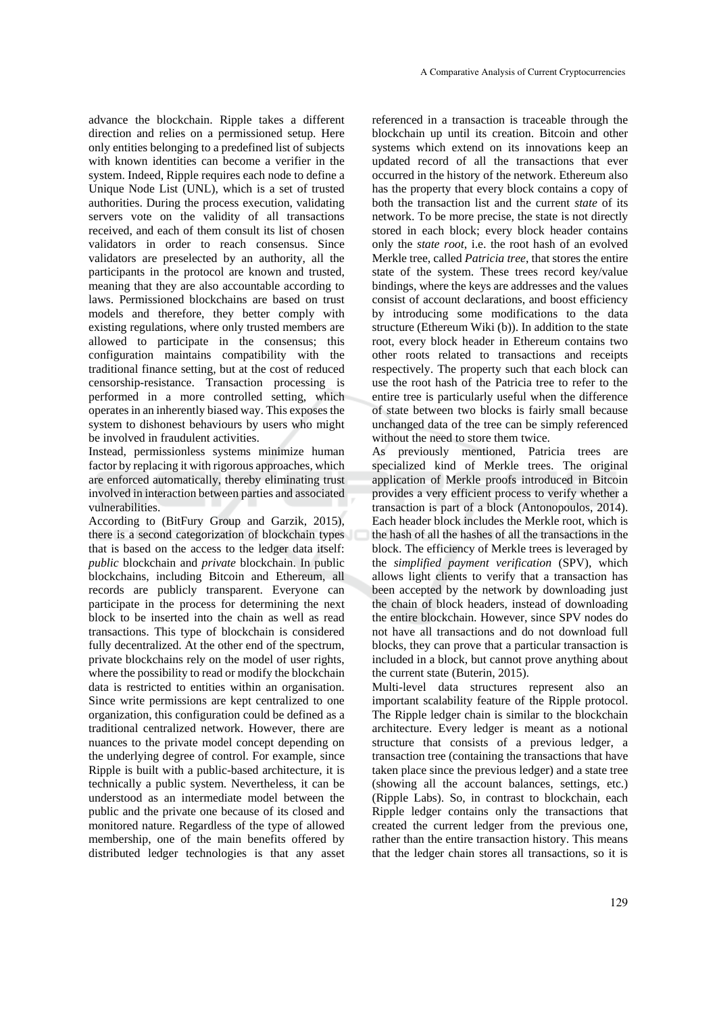advance the blockchain. Ripple takes a different direction and relies on a permissioned setup. Here only entities belonging to a predefined list of subjects with known identities can become a verifier in the system. Indeed, Ripple requires each node to define a Unique Node List (UNL), which is a set of trusted authorities. During the process execution, validating servers vote on the validity of all transactions received, and each of them consult its list of chosen validators in order to reach consensus. Since validators are preselected by an authority, all the participants in the protocol are known and trusted, meaning that they are also accountable according to laws. Permissioned blockchains are based on trust models and therefore, they better comply with existing regulations, where only trusted members are allowed to participate in the consensus; this configuration maintains compatibility with the traditional finance setting, but at the cost of reduced censorship-resistance. Transaction processing is performed in a more controlled setting, which operates in an inherently biased way. This exposes the system to dishonest behaviours by users who might be involved in fraudulent activities.

Instead, permissionless systems minimize human factor by replacing it with rigorous approaches, which are enforced automatically, thereby eliminating trust involved in interaction between parties and associated vulnerabilities.

According to (BitFury Group and Garzik, 2015), there is a second categorization of blockchain types that is based on the access to the ledger data itself: *public* blockchain and *private* blockchain. In public blockchains, including Bitcoin and Ethereum, all records are publicly transparent. Everyone can participate in the process for determining the next block to be inserted into the chain as well as read transactions. This type of blockchain is considered fully decentralized. At the other end of the spectrum, private blockchains rely on the model of user rights, where the possibility to read or modify the blockchain data is restricted to entities within an organisation. Since write permissions are kept centralized to one organization, this configuration could be defined as a traditional centralized network. However, there are nuances to the private model concept depending on the underlying degree of control. For example, since Ripple is built with a public-based architecture, it is technically a public system. Nevertheless, it can be understood as an intermediate model between the public and the private one because of its closed and monitored nature. Regardless of the type of allowed membership, one of the main benefits offered by distributed ledger technologies is that any asset

referenced in a transaction is traceable through the blockchain up until its creation. Bitcoin and other systems which extend on its innovations keep an updated record of all the transactions that ever occurred in the history of the network. Ethereum also has the property that every block contains a copy of both the transaction list and the current *state* of its network. To be more precise, the state is not directly stored in each block; every block header contains only the *state root*, i.e. the root hash of an evolved Merkle tree, called *Patricia tree*, that stores the entire state of the system. These trees record key/value bindings, where the keys are addresses and the values consist of account declarations, and boost efficiency by introducing some modifications to the data structure (Ethereum Wiki (b)). In addition to the state root, every block header in Ethereum contains two other roots related to transactions and receipts respectively. The property such that each block can use the root hash of the Patricia tree to refer to the entire tree is particularly useful when the difference of state between two blocks is fairly small because unchanged data of the tree can be simply referenced without the need to store them twice.

As previously mentioned, Patricia trees are specialized kind of Merkle trees. The original application of Merkle proofs introduced in Bitcoin provides a very efficient process to verify whether a transaction is part of a block (Antonopoulos, 2014). Each header block includes the Merkle root, which is the hash of all the hashes of all the transactions in the block. The efficiency of Merkle trees is leveraged by the *simplified payment verification* (SPV), which allows light clients to verify that a transaction has been accepted by the network by downloading just the chain of block headers, instead of downloading the entire blockchain. However, since SPV nodes do not have all transactions and do not download full blocks, they can prove that a particular transaction is included in a block, but cannot prove anything about the current state (Buterin, 2015).

Multi-level data structures represent also an important scalability feature of the Ripple protocol. The Ripple ledger chain is similar to the blockchain architecture. Every ledger is meant as a notional structure that consists of a previous ledger, a transaction tree (containing the transactions that have taken place since the previous ledger) and a state tree (showing all the account balances, settings, etc.) (Ripple Labs). So, in contrast to blockchain, each Ripple ledger contains only the transactions that created the current ledger from the previous one, rather than the entire transaction history. This means that the ledger chain stores all transactions, so it is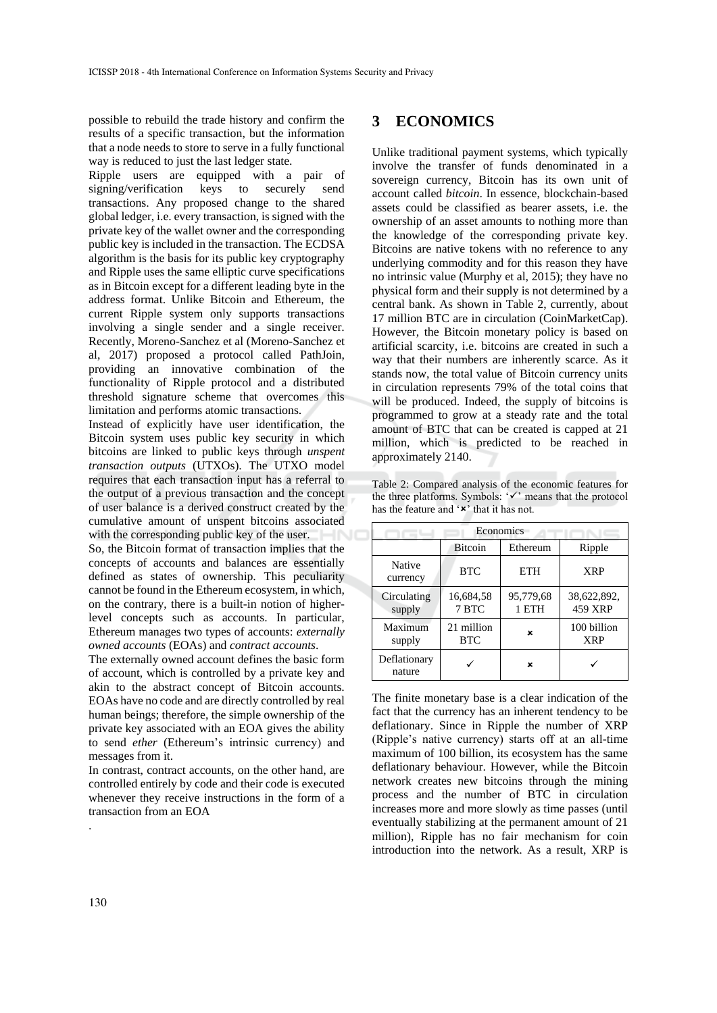possible to rebuild the trade history and confirm the results of a specific transaction, but the information that a node needs to store to serve in a fully functional way is reduced to just the last ledger state.

Ripple users are equipped with a pair of signing/verification keys to securely send transactions. Any proposed change to the shared global ledger, i.e. every transaction, is signed with the private key of the wallet owner and the corresponding public key is included in the transaction. The ECDSA algorithm is the basis for its public key cryptography and Ripple uses the same elliptic curve specifications as in Bitcoin except for a different leading byte in the address format. Unlike Bitcoin and Ethereum, the current Ripple system only supports transactions involving a single sender and a single receiver. Recently, Moreno-Sanchez et al (Moreno-Sanchez et al, 2017) proposed a protocol called PathJoin, providing an innovative combination of the functionality of Ripple protocol and a distributed threshold signature scheme that overcomes this limitation and performs atomic transactions.

Instead of explicitly have user identification, the Bitcoin system uses public key security in which bitcoins are linked to public keys through *unspent transaction outputs* (UTXOs). The UTXO model requires that each transaction input has a referral to the output of a previous transaction and the concept of user balance is a derived construct created by the cumulative amount of unspent bitcoins associated with the corresponding public key of the user.

So, the Bitcoin format of transaction implies that the concepts of accounts and balances are essentially defined as states of ownership. This peculiarity cannot be found in the Ethereum ecosystem, in which, on the contrary, there is a built-in notion of higherlevel concepts such as accounts. In particular, Ethereum manages two types of accounts: *externally owned accounts* (EOAs) and *contract accounts*.

The externally owned account defines the basic form of account, which is controlled by a private key and akin to the abstract concept of Bitcoin accounts. EOAs have no code and are directly controlled by real human beings; therefore, the simple ownership of the private key associated with an EOA gives the ability to send *ether* (Ethereum's intrinsic currency) and messages from it.

In contrast, contract accounts, on the other hand, are controlled entirely by code and their code is executed whenever they receive instructions in the form of a transaction from an EOA

#### **3 ECONOMICS**

Unlike traditional payment systems, which typically involve the transfer of funds denominated in a sovereign currency, Bitcoin has its own unit of account called *bitcoin*. In essence, blockchain-based assets could be classified as bearer assets, i.e. the ownership of an asset amounts to nothing more than the knowledge of the corresponding private key. Bitcoins are native tokens with no reference to any underlying commodity and for this reason they have no intrinsic value (Murphy et al, 2015); they have no physical form and their supply is not determined by a central bank. As shown in Table 2, currently, about 17 million BTC are in circulation (CoinMarketCap). However, the Bitcoin monetary policy is based on artificial scarcity, i.e. bitcoins are created in such a way that their numbers are inherently scarce. As it stands now, the total value of Bitcoin currency units in circulation represents 79% of the total coins that will be produced. Indeed, the supply of bitcoins is programmed to grow at a steady rate and the total amount of BTC that can be created is capped at 21 million, which is predicted to be reached in approximately 2140.

Table 2: Compared analysis of the economic features for the three platforms. Symbols: '✓' means that the protocol has the feature and  $'$  \*' that it has not.

| Economics              |                          |                    |                           |
|------------------------|--------------------------|--------------------|---------------------------|
|                        | <b>Bitcoin</b>           | Ethereum           | Ripple                    |
| Native<br>currency     | <b>BTC</b>               | <b>ETH</b>         | <b>XRP</b>                |
| Circulating<br>supply  | 16,684,58<br>7 BTC       | 95,779,68<br>1 ETH | 38,622,892,<br>459 XRP    |
| Maximum<br>supply      | 21 million<br><b>BTC</b> | ×                  | 100 billion<br><b>XRP</b> |
| Deflationary<br>nature |                          | ×                  |                           |

The finite monetary base is a clear indication of the fact that the currency has an inherent tendency to be deflationary. Since in Ripple the number of XRP (Ripple's native currency) starts off at an all-time maximum of 100 billion, its ecosystem has the same deflationary behaviour. However, while the Bitcoin network creates new bitcoins through the mining process and the number of BTC in circulation increases more and more slowly as time passes (until eventually stabilizing at the permanent amount of 21 million), Ripple has no fair mechanism for coin introduction into the network. As a result, XRP is

.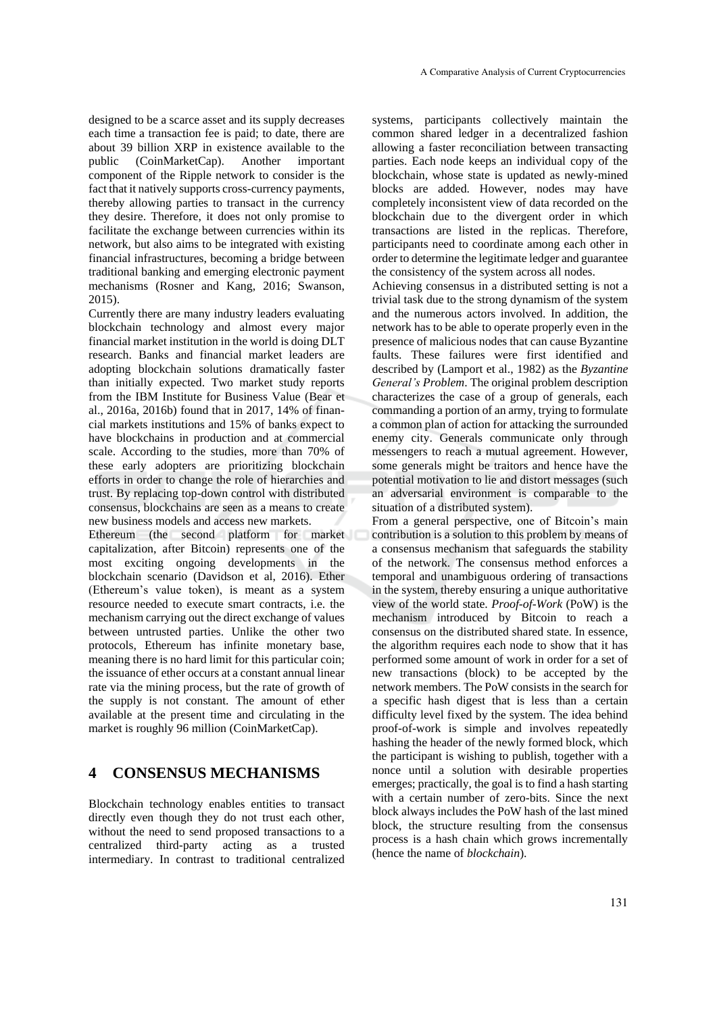designed to be a scarce asset and its supply decreases each time a transaction fee is paid; to date, there are about 39 billion XRP in existence available to the public (CoinMarketCap). Another important component of the Ripple network to consider is the fact that it natively supports cross-currency payments, thereby allowing parties to transact in the currency they desire. Therefore, it does not only promise to facilitate the exchange between currencies within its network, but also aims to be integrated with existing financial infrastructures, becoming a bridge between traditional banking and emerging electronic payment mechanisms (Rosner and Kang, 2016; Swanson, 2015).

Currently there are many industry leaders evaluating blockchain technology and almost every major financial market institution in the world is doing DLT research. Banks and financial market leaders are adopting blockchain solutions dramatically faster than initially expected. Two market study reports from the IBM Institute for Business Value (Bear et al., 2016a, 2016b) found that in 2017, 14% of financial markets institutions and 15% of banks expect to have blockchains in production and at commercial scale. According to the studies, more than 70% of these early adopters are prioritizing blockchain efforts in order to change the role of hierarchies and trust. By replacing top-down control with distributed consensus, blockchains are seen as a means to create new business models and access new markets.

Ethereum (the second platform for market capitalization, after Bitcoin) represents one of the most exciting ongoing developments in the blockchain scenario (Davidson et al, 2016). Ether (Ethereum's value token), is meant as a system resource needed to execute smart contracts, i.e. the mechanism carrying out the direct exchange of values between untrusted parties. Unlike the other two protocols, Ethereum has infinite monetary base, meaning there is no hard limit for this particular coin; the issuance of ether occurs at a constant annual linear rate via the mining process, but the rate of growth of the supply is not constant. The amount of ether available at the present time and circulating in the market is roughly 96 million (CoinMarketCap).

### **4 CONSENSUS MECHANISMS**

Blockchain technology enables entities to transact directly even though they do not trust each other, without the need to send proposed transactions to a centralized third-party acting as a trusted intermediary. In contrast to traditional centralized

systems, participants collectively maintain the common shared ledger in a decentralized fashion allowing a faster reconciliation between transacting parties. Each node keeps an individual copy of the blockchain, whose state is updated as newly-mined blocks are added. However, nodes may have completely inconsistent view of data recorded on the blockchain due to the divergent order in which transactions are listed in the replicas. Therefore, participants need to coordinate among each other in order to determine the legitimate ledger and guarantee the consistency of the system across all nodes.

Achieving consensus in a distributed setting is not a trivial task due to the strong dynamism of the system and the numerous actors involved. In addition, the network has to be able to operate properly even in the presence of malicious nodes that can cause Byzantine faults. These failures were first identified and described by (Lamport et al., 1982) as the *Byzantine General's Problem*. The original problem description characterizes the case of a group of generals, each commanding a portion of an army, trying to formulate a common plan of action for attacking the surrounded enemy city. Generals communicate only through messengers to reach a mutual agreement. However, some generals might be traitors and hence have the potential motivation to lie and distort messages (such an adversarial environment is comparable to the situation of a distributed system).

From a general perspective, one of Bitcoin's main contribution is a solution to this problem by means of a consensus mechanism that safeguards the stability of the network. The consensus method enforces a temporal and unambiguous ordering of transactions in the system, thereby ensuring a unique authoritative view of the world state. *Proof-of-Work* (PoW) is the mechanism introduced by Bitcoin to reach a consensus on the distributed shared state. In essence, the algorithm requires each node to show that it has performed some amount of work in order for a set of new transactions (block) to be accepted by the network members. The PoW consists in the search for a specific hash digest that is less than a certain difficulty level fixed by the system. The idea behind proof-of-work is simple and involves repeatedly hashing the header of the newly formed block, which the participant is wishing to publish, together with a nonce until a solution with desirable properties emerges; practically, the goal is to find a hash starting with a certain number of zero-bits. Since the next block always includes the PoW hash of the last mined block, the structure resulting from the consensus process is a hash chain which grows incrementally (hence the name of *blockchain*).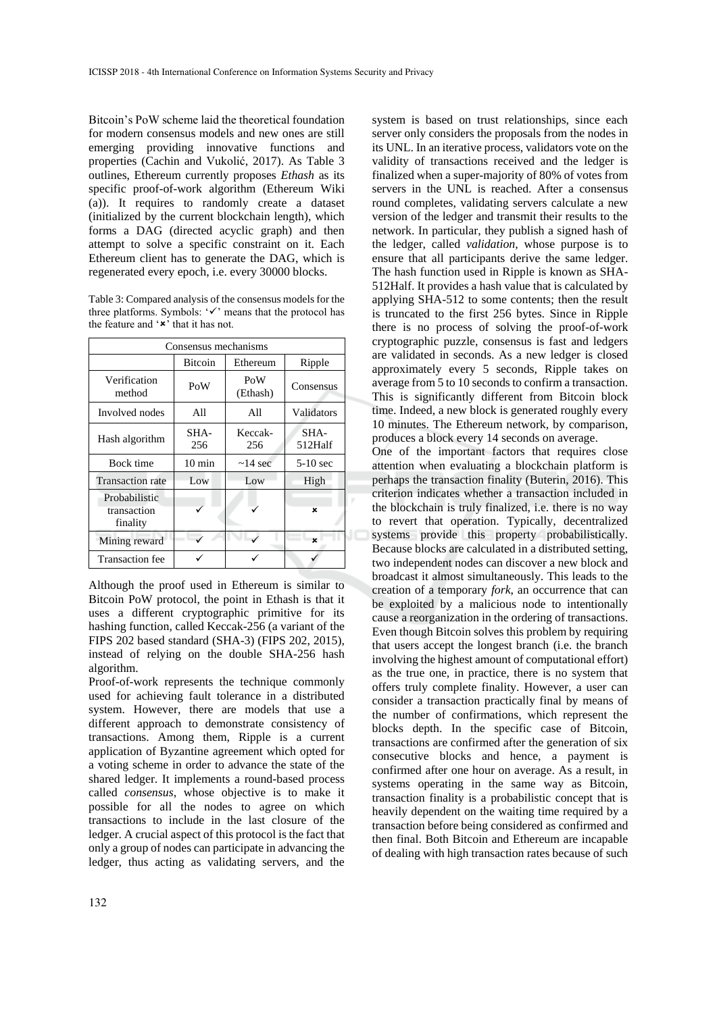Bitcoin's PoW scheme laid the theoretical foundation for modern consensus models and new ones are still emerging providing innovative functions and properties (Cachin and Vukolić, 2017). As Table 3 outlines, Ethereum currently proposes *Ethash* as its specific proof-of-work algorithm (Ethereum Wiki (a)). It requires to randomly create a dataset (initialized by the current blockchain length), which forms a DAG (directed acyclic graph) and then attempt to solve a specific constraint on it. Each Ethereum client has to generate the DAG, which is regenerated every epoch, i.e. every 30000 blocks.

Table 3: Compared analysis of the consensus models for the three platforms. Symbols: '✓' means that the protocol has the feature and  $\cdot \star$  that it has not.

| Consensus mechanisms                     |                  |                 |                 |
|------------------------------------------|------------------|-----------------|-----------------|
|                                          | <b>Bitcoin</b>   | Ethereum        | Ripple          |
| Verification<br>method                   | PoW              | PoW<br>(Ethash) | Consensus       |
| Involved nodes                           | All              | All             | Validators      |
| Hash algorithm                           | SHA-<br>256      | Keccak-<br>256  | SHA-<br>512Half |
| Bock time                                | $10 \text{ min}$ | $\sim$ 14 sec   | $5-10$ sec      |
| <b>Transaction</b> rate                  | Low              | Low             | High            |
| Probabilistic<br>transaction<br>finality |                  |                 | ×               |
| Mining reward                            |                  |                 | $\mathbf{x}$    |
| <b>Transaction</b> fee                   |                  |                 |                 |

Although the proof used in Ethereum is similar to Bitcoin PoW protocol, the point in Ethash is that it uses a different cryptographic primitive for its hashing function, called Keccak-256 (a variant of the FIPS 202 based standard (SHA-3) (FIPS 202, 2015), instead of relying on the double SHA-256 hash algorithm.

Proof-of-work represents the technique commonly used for achieving fault tolerance in a distributed system. However, there are models that use a different approach to demonstrate consistency of transactions. Among them, Ripple is a current application of Byzantine agreement which opted for a voting scheme in order to advance the state of the shared ledger. It implements a round-based process called *consensus*, whose objective is to make it possible for all the nodes to agree on which transactions to include in the last closure of the ledger. A crucial aspect of this protocol is the fact that only a group of nodes can participate in advancing the ledger, thus acting as validating servers, and the

system is based on trust relationships, since each server only considers the proposals from the nodes in its UNL. In an iterative process, validators vote on the validity of transactions received and the ledger is finalized when a super-majority of 80% of votes from servers in the UNL is reached. After a consensus round completes, validating servers calculate a new version of the ledger and transmit their results to the network. In particular, they publish a signed hash of the ledger, called *validation,* whose purpose is to ensure that all participants derive the same ledger. The hash function used in Ripple is known as SHA-512Half. It provides a hash value that is calculated by applying SHA-512 to some contents; then the result is truncated to the first 256 bytes. Since in Ripple there is no process of solving the proof-of-work cryptographic puzzle, consensus is fast and ledgers are validated in seconds. As a new ledger is closed approximately every 5 seconds, Ripple takes on average from 5 to 10 seconds to confirm a transaction. This is significantly different from Bitcoin block time. Indeed, a new block is generated roughly every 10 minutes. The Ethereum network, by comparison, produces a block every 14 seconds on average.

One of the important factors that requires close attention when evaluating a blockchain platform is perhaps the transaction finality (Buterin, 2016). This criterion indicates whether a transaction included in the blockchain is truly finalized, i.e. there is no way to revert that operation. Typically, decentralized systems provide this property probabilistically. Because blocks are calculated in a distributed setting, two independent nodes can discover a new block and broadcast it almost simultaneously. This leads to the creation of a temporary *fork*, an occurrence that can be exploited by a malicious node to intentionally cause a reorganization in the ordering of transactions. Even though Bitcoin solves this problem by requiring that users accept the longest branch (i.e. the branch involving the highest amount of computational effort) as the true one, in practice, there is no system that offers truly complete finality. However, a user can consider a transaction practically final by means of the number of confirmations, which represent the blocks depth. In the specific case of Bitcoin, transactions are confirmed after the generation of six consecutive blocks and hence, a payment is confirmed after one hour on average. As a result, in systems operating in the same way as Bitcoin, transaction finality is a probabilistic concept that is heavily dependent on the waiting time required by a transaction before being considered as confirmed and then final. Both Bitcoin and Ethereum are incapable of dealing with high transaction rates because of such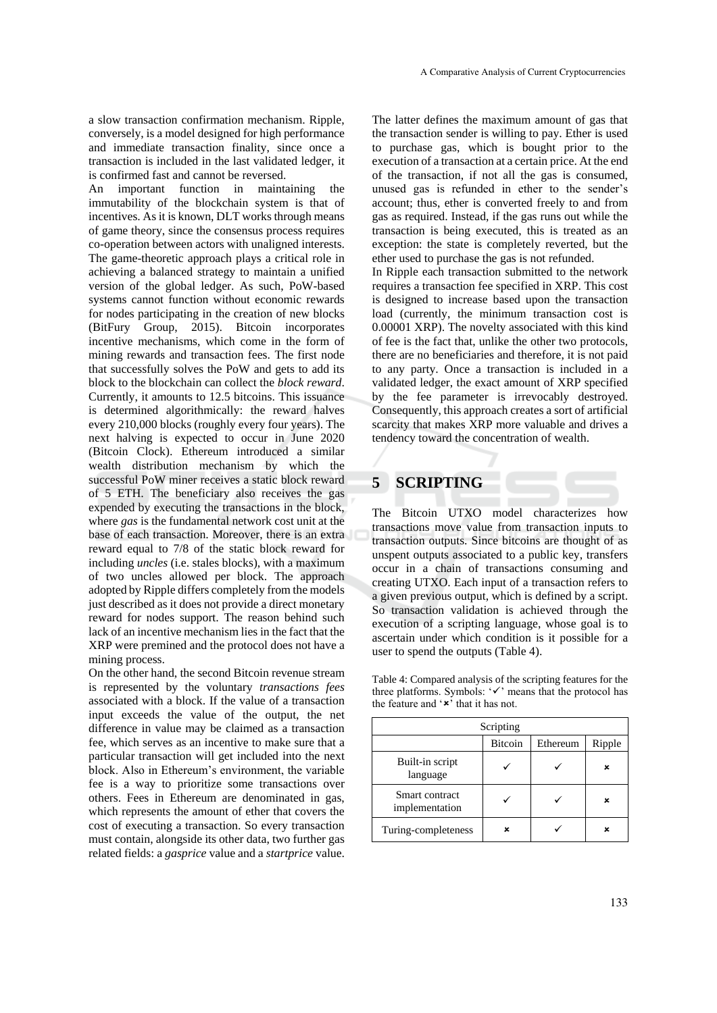a slow transaction confirmation mechanism. Ripple, conversely, is a model designed for high performance and immediate transaction finality, since once a transaction is included in the last validated ledger, it is confirmed fast and cannot be reversed.

An important function in maintaining the immutability of the blockchain system is that of incentives. As it is known, DLT works through means of game theory, since the consensus process requires co-operation between actors with unaligned interests. The game-theoretic approach plays a critical role in achieving a balanced strategy to maintain a unified version of the global ledger. As such, PoW-based systems cannot function without economic rewards for nodes participating in the creation of new blocks (BitFury Group, 2015). Bitcoin incorporates incentive mechanisms, which come in the form of mining rewards and transaction fees. The first node that successfully solves the PoW and gets to add its block to the blockchain can collect the *block reward*. Currently, it amounts to 12.5 bitcoins. This issuance is determined algorithmically: the reward halves every 210,000 blocks (roughly every four years). The next halving is expected to occur in June 2020 (Bitcoin Clock). Ethereum introduced a similar wealth distribution mechanism by which the successful PoW miner receives a static block reward of 5 ETH. The beneficiary also receives the gas expended by executing the transactions in the block, where *gas* is the fundamental network cost unit at the base of each transaction. Moreover, there is an extra reward equal to 7/8 of the static block reward for including *uncles* (i.e. stales blocks), with a maximum of two uncles allowed per block. The approach adopted by Ripple differs completely from the models just described as it does not provide a direct monetary reward for nodes support. The reason behind such lack of an incentive mechanism lies in the fact that the XRP were premined and the protocol does not have a mining process.

On the other hand, the second Bitcoin revenue stream is represented by the voluntary *transactions fees* associated with a block. If the value of a transaction input exceeds the value of the output, the net difference in value may be claimed as a transaction fee, which serves as an incentive to make sure that a particular transaction will get included into the next block. Also in Ethereum's environment, the variable fee is a way to prioritize some transactions over others. Fees in Ethereum are denominated in gas, which represents the amount of ether that covers the cost of executing a transaction. So every transaction must contain, alongside its other data, two further gas related fields: a *gasprice* value and a *startprice* value.

The latter defines the maximum amount of gas that the transaction sender is willing to pay. Ether is used to purchase gas, which is bought prior to the execution of a transaction at a certain price. At the end of the transaction, if not all the gas is consumed, unused gas is refunded in ether to the sender's account; thus, ether is converted freely to and from gas as required. Instead, if the gas runs out while the transaction is being executed, this is treated as an exception: the state is completely reverted, but the ether used to purchase the gas is not refunded.

In Ripple each transaction submitted to the network requires a transaction fee specified in XRP. This cost is designed to increase based upon the transaction load (currently, the minimum transaction cost is 0.00001 XRP). The novelty associated with this kind of fee is the fact that, unlike the other two protocols, there are no beneficiaries and therefore, it is not paid to any party. Once a transaction is included in a validated ledger, the exact amount of XRP specified by the fee parameter is irrevocably destroyed. Consequently, this approach creates a sort of artificial scarcity that makes XRP more valuable and drives a tendency toward the concentration of wealth.

### **5 SCRIPTING**

The Bitcoin UTXO model characterizes how transactions move value from transaction inputs to transaction outputs. Since bitcoins are thought of as unspent outputs associated to a public key, transfers occur in a chain of transactions consuming and creating UTXO. Each input of a transaction refers to a given previous output, which is defined by a script. So transaction validation is achieved through the execution of a scripting language, whose goal is to ascertain under which condition is it possible for a user to spend the outputs (Table 4).

Table 4: Compared analysis of the scripting features for the three platforms. Symbols: '✓' means that the protocol has the feature and  $'$ \*' that it has not.

| Scripting                        |                |          |        |
|----------------------------------|----------------|----------|--------|
|                                  | <b>Bitcoin</b> | Ethereum | Ripple |
| Built-in script<br>language      |                |          | ×      |
| Smart contract<br>implementation |                |          | ×      |
| Turing-completeness              | ×              |          | ×      |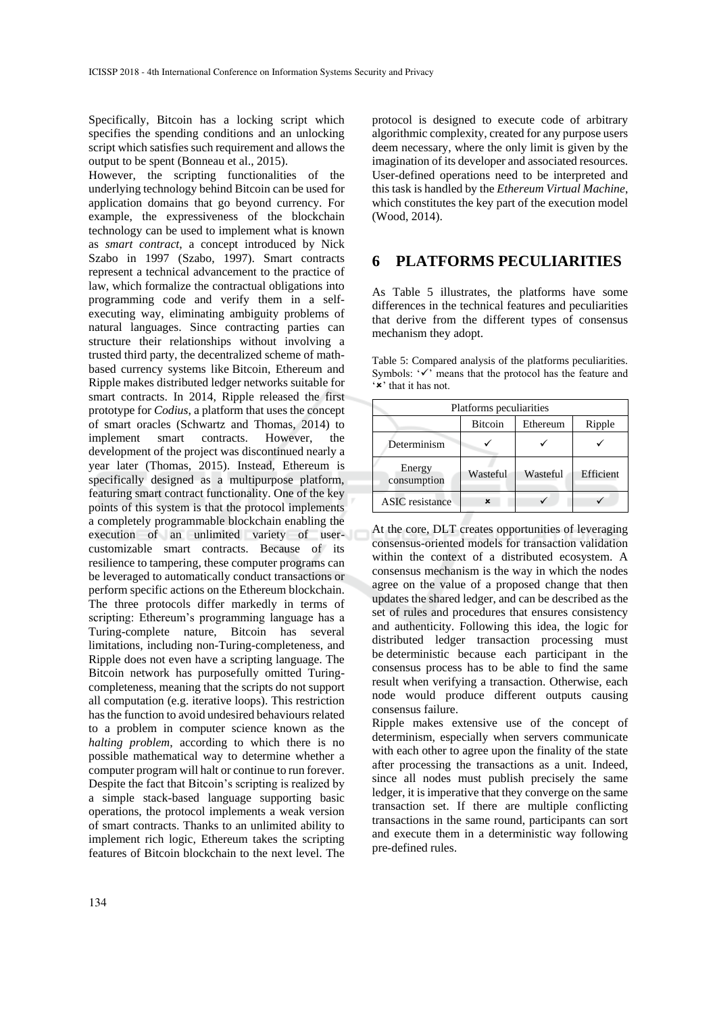Specifically, Bitcoin has a locking script which specifies the spending conditions and an unlocking script which satisfies such requirement and allows the output to be spent (Bonneau et al., 2015).

However, the scripting functionalities of the underlying technology behind Bitcoin can be used for application domains that go beyond currency. For example, the expressiveness of the blockchain technology can be used to implement what is known as *smart contract*, a concept introduced by Nick Szabo in 1997 (Szabo, 1997). Smart contracts represent a technical advancement to the practice of law, which formalize the contractual obligations into programming code and verify them in a selfexecuting way, eliminating ambiguity problems of natural languages. Since contracting parties can structure their relationships without involving a trusted third party, the decentralized scheme of mathbased currency systems like Bitcoin, Ethereum and Ripple makes distributed ledger networks suitable for smart contracts. In 2014, Ripple released the first prototype for *Codius*, a platform that uses the concept of smart oracles (Schwartz and Thomas, 2014) to implement smart contracts. However, the development of the project was discontinued nearly a year later (Thomas, 2015). Instead, Ethereum is specifically designed as a multipurpose platform, featuring smart contract functionality. One of the key points of this system is that the protocol implements a completely programmable blockchain enabling the execution of an unlimited variety of usercustomizable smart contracts. Because of its resilience to tampering, these computer programs can be leveraged to automatically conduct transactions or perform specific actions on the Ethereum blockchain. The three protocols differ markedly in terms of scripting: Ethereum's programming language has a Turing-complete nature, Bitcoin has several limitations, including non-Turing-completeness, and Ripple does not even have a scripting language. The Bitcoin network has purposefully omitted Turingcompleteness, meaning that the scripts do not support all computation (e.g. iterative loops). This restriction has the function to avoid undesired behaviours related to a problem in computer science known as the *halting problem*, according to which there is no possible mathematical way to determine whether a computer program will halt or continue to run forever. Despite the fact that Bitcoin's scripting is realized by a simple stack-based language supporting basic operations, the protocol implements a weak version of smart contracts. Thanks to an unlimited ability to implement rich logic, Ethereum takes the scripting features of Bitcoin blockchain to the next level. The

protocol is designed to execute code of arbitrary algorithmic complexity, created for any purpose users deem necessary, where the only limit is given by the imagination of its developer and associated resources. User-defined operations need to be interpreted and this task is handled by the *Ethereum Virtual Machine*, which constitutes the key part of the execution model (Wood, 2014).

### **6 PLATFORMS PECULIARITIES**

As Table 5 illustrates, the platforms have some differences in the technical features and peculiarities that derive from the different types of consensus mechanism they adopt.

Table 5: Compared analysis of the platforms peculiarities. Symbols: '✓' means that the protocol has the feature and '\*' that it has not.

| Platforms peculiarities |                |          |           |
|-------------------------|----------------|----------|-----------|
|                         | <b>Bitcoin</b> | Ethereum | Ripple    |
| Determinism             |                |          |           |
| Energy<br>consumption   | Wasteful       | Wasteful | Efficient |
| <b>ASIC</b> resistance  | ×              |          |           |

At the core, DLT creates opportunities of leveraging consensus-oriented models for transaction validation within the context of a distributed ecosystem. A consensus mechanism is the way in which the nodes agree on the value of a proposed change that then updates the shared ledger, and can be described as the set of rules and procedures that ensures consistency and authenticity. Following this idea, the logic for distributed ledger transaction processing must be deterministic because each participant in the consensus process has to be able to find the same result when verifying a transaction. Otherwise, each node would produce different outputs causing consensus failure.

Ripple makes extensive use of the concept of determinism, especially when servers communicate with each other to agree upon the finality of the state after processing the transactions as a unit. Indeed, since all nodes must publish precisely the same ledger, it is imperative that they converge on the same transaction set. If there are multiple conflicting transactions in the same round, participants can sort and execute them in a deterministic way following pre-defined rules.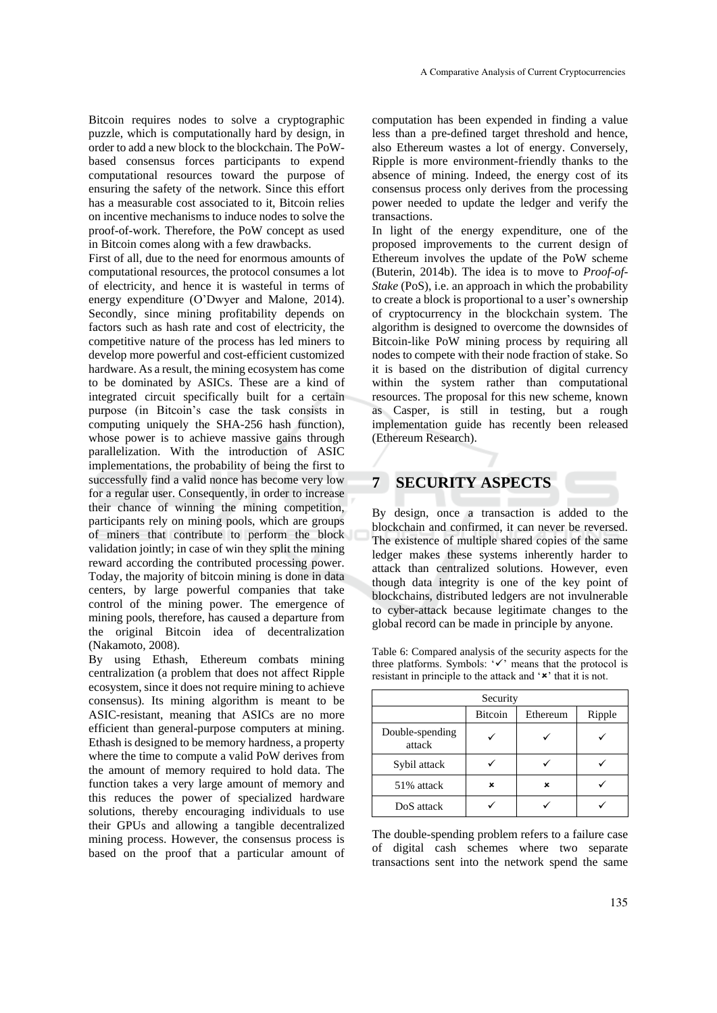Bitcoin requires nodes to solve a cryptographic puzzle, which is computationally hard by design, in order to add a new block to the blockchain. The PoWbased consensus forces participants to expend computational resources toward the purpose of ensuring the safety of the network. Since this effort has a measurable cost associated to it, Bitcoin relies on incentive mechanisms to induce nodes to solve the proof-of-work. Therefore, the PoW concept as used in Bitcoin comes along with a few drawbacks.

First of all, due to the need for enormous amounts of computational resources, the protocol consumes a lot of electricity, and hence it is wasteful in terms of energy expenditure (O'Dwyer and Malone, 2014). Secondly, since mining profitability depends on factors such as hash rate and cost of electricity, the competitive nature of the process has led miners to develop more powerful and cost-efficient customized hardware. As a result, the mining ecosystem has come to be dominated by ASICs. These are a kind of integrated circuit specifically built for a certain purpose (in Bitcoin's case the task consists in computing uniquely the SHA-256 hash function), whose power is to achieve massive gains through parallelization. With the introduction of ASIC implementations, the probability of being the first to successfully find a valid nonce has become very low for a regular user. Consequently, in order to increase their chance of winning the mining competition, participants rely on mining pools, which are groups of miners that contribute to perform the block validation jointly; in case of win they split the mining reward according the contributed processing power. Today, the majority of bitcoin mining is done in data centers, by large powerful companies that take control of the mining power. The emergence of mining pools, therefore, has caused a departure from the original Bitcoin idea of decentralization (Nakamoto, 2008).

By using Ethash, Ethereum combats mining centralization (a problem that does not affect Ripple ecosystem, since it does not require mining to achieve consensus). Its mining algorithm is meant to be ASIC-resistant, meaning that ASICs are no more efficient than general-purpose computers at mining. Ethash is designed to be memory hardness, a property where the time to compute a valid PoW derives from the amount of memory required to hold data. The function takes a very large amount of memory and this reduces the power of specialized hardware solutions, thereby encouraging individuals to use their GPUs and allowing a tangible decentralized mining process. However, the consensus process is based on the proof that a particular amount of computation has been expended in finding a value less than a pre-defined target threshold and hence, also Ethereum wastes a lot of energy. Conversely, Ripple is more environment-friendly thanks to the absence of mining. Indeed, the energy cost of its consensus process only derives from the processing power needed to update the ledger and verify the transactions.

In light of the energy expenditure, one of the proposed improvements to the current design of Ethereum involves the update of the PoW scheme (Buterin, 2014b). The idea is to move to *Proof-of-Stake* (PoS), i.e. an approach in which the probability to create a block is proportional to a user's ownership of cryptocurrency in the blockchain system. The algorithm is designed to overcome the downsides of Bitcoin-like PoW mining process by requiring all nodes to compete with their node fraction of stake. So it is based on the distribution of digital currency within the system rather than computational resources. The proposal for this new scheme, known as Casper, is still in testing, but a rough implementation guide has recently been released (Ethereum Research).

### **7 SECURITY ASPECTS**

By design, once a transaction is added to the blockchain and confirmed, it can never be reversed. The existence of multiple shared copies of the same ledger makes these systems inherently harder to attack than centralized solutions. However, even though data integrity is one of the key point of blockchains, distributed ledgers are not invulnerable to cyber-attack because legitimate changes to the global record can be made in principle by anyone.

Table 6: Compared analysis of the security aspects for the three platforms. Symbols: '✓' means that the protocol is resistant in principle to the attack and ' $\star$ ' that it is not.

| Security                  |                |          |        |
|---------------------------|----------------|----------|--------|
|                           | <b>Bitcoin</b> | Ethereum | Ripple |
| Double-spending<br>attack |                |          |        |
| Sybil attack              |                |          |        |
| 51% attack                | ×              | ×        |        |
| DoS attack                |                |          |        |

The double-spending problem refers to a failure case of digital cash schemes where two separate transactions sent into the network spend the same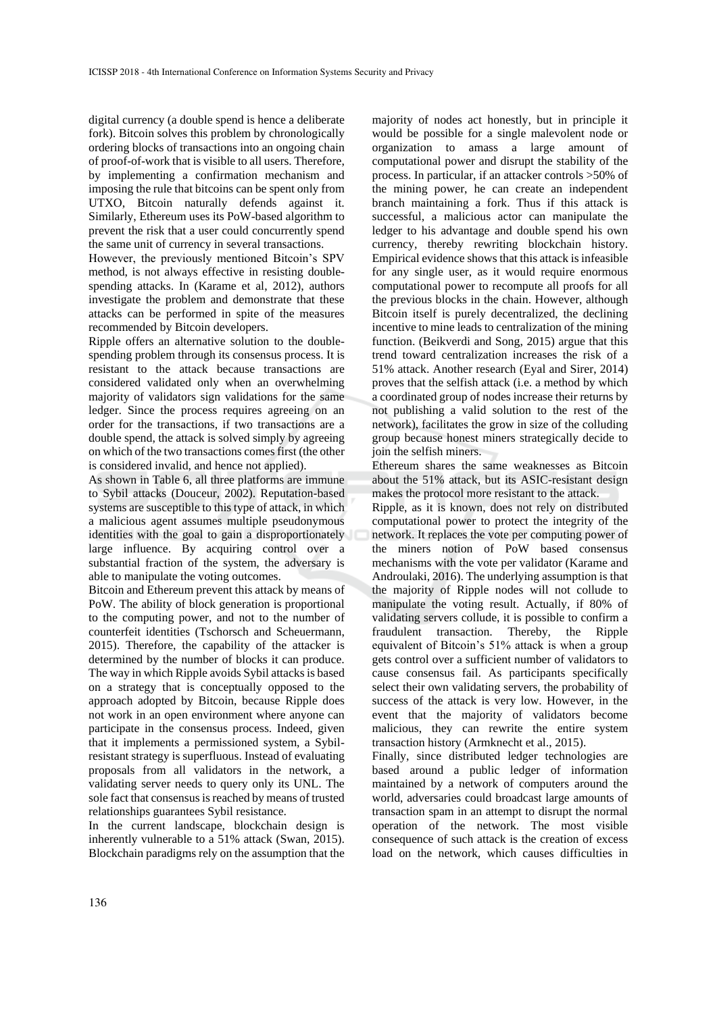digital currency (a double spend is hence a deliberate fork). Bitcoin solves this problem by chronologically ordering blocks of transactions into an ongoing chain of proof-of-work that is visible to all users. Therefore, by implementing a confirmation mechanism and imposing the rule that bitcoins can be spent only from UTXO, Bitcoin naturally defends against it. Similarly, Ethereum uses its PoW-based algorithm to prevent the risk that a user could concurrently spend the same unit of currency in several transactions.

However, the previously mentioned Bitcoin's SPV method, is not always effective in resisting doublespending attacks. In (Karame et al, 2012), authors investigate the problem and demonstrate that these attacks can be performed in spite of the measures recommended by Bitcoin developers.

Ripple offers an alternative solution to the doublespending problem through its consensus process. It is resistant to the attack because transactions are considered validated only when an overwhelming majority of validators sign validations for the same ledger. Since the process requires agreeing on an order for the transactions, if two transactions are a double spend, the attack is solved simply by agreeing on which of the two transactions comes first (the other is considered invalid, and hence not applied).

As shown in Table 6, all three platforms are immune to Sybil attacks (Douceur, 2002). Reputation-based systems are susceptible to this type of attack, in which a malicious agent assumes multiple pseudonymous identities with the goal to gain a disproportionately large influence. By acquiring control over a substantial fraction of the system, the adversary is able to manipulate the voting outcomes.

Bitcoin and Ethereum prevent this attack by means of PoW. The ability of block generation is proportional to the computing power, and not to the number of counterfeit identities (Tschorsch and Scheuermann, 2015). Therefore, the capability of the attacker is determined by the number of blocks it can produce. The way in which Ripple avoids Sybil attacks is based on a strategy that is conceptually opposed to the approach adopted by Bitcoin, because Ripple does not work in an open environment where anyone can participate in the consensus process. Indeed, given that it implements a permissioned system, a Sybilresistant strategy is superfluous. Instead of evaluating proposals from all validators in the network, a validating server needs to query only its UNL. The sole fact that consensus is reached by means of trusted relationships guarantees Sybil resistance.

In the current landscape, blockchain design is inherently vulnerable to a 51% attack (Swan, 2015). Blockchain paradigms rely on the assumption that the

majority of nodes act honestly, but in principle it would be possible for a single malevolent node or organization to amass a large amount of computational power and disrupt the stability of the process. In particular, if an attacker controls >50% of the mining power, he can create an independent branch maintaining a fork. Thus if this attack is successful, a malicious actor can manipulate the ledger to his advantage and double spend his own currency, thereby rewriting blockchain history. Empirical evidence shows that this attack is infeasible for any single user, as it would require enormous computational power to recompute all proofs for all the previous blocks in the chain. However, although Bitcoin itself is purely decentralized, the declining incentive to mine leads to centralization of the mining function. (Beikverdi and Song, 2015) argue that this trend toward centralization increases the risk of a 51% attack. Another research (Eyal and Sirer, 2014) proves that the selfish attack (i.e. a method by which a coordinated group of nodes increase their returns by not publishing a valid solution to the rest of the network), facilitates the grow in size of the colluding group because honest miners strategically decide to join the selfish miners.

Ethereum shares the same weaknesses as Bitcoin about the 51% attack, but its ASIC-resistant design makes the protocol more resistant to the attack.

Ripple, as it is known, does not rely on distributed computational power to protect the integrity of the network. It replaces the vote per computing power of the miners notion of PoW based consensus mechanisms with the vote per validator (Karame and Androulaki, 2016). The underlying assumption is that the majority of Ripple nodes will not collude to manipulate the voting result. Actually, if 80% of validating servers collude, it is possible to confirm a fraudulent transaction. Thereby, the Ripple equivalent of Bitcoin's 51% attack is when a group gets control over a sufficient number of validators to cause consensus fail. As participants specifically select their own validating servers, the probability of success of the attack is very low. However, in the event that the majority of validators become malicious, they can rewrite the entire system transaction history (Armknecht et al., 2015).

Finally, since distributed ledger technologies are based around a public ledger of information maintained by a network of computers around the world, adversaries could broadcast large amounts of transaction spam in an attempt to disrupt the normal operation of the network. The most visible consequence of such attack is the creation of excess load on the network, which causes difficulties in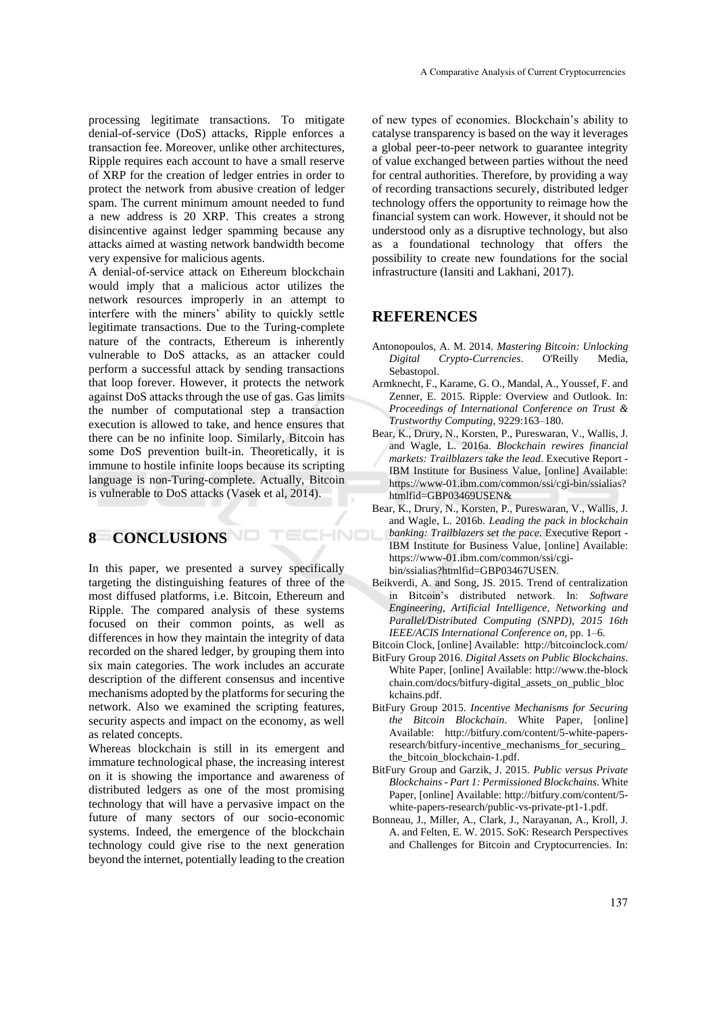processing legitimate transactions. To mitigate denial-of-service (DoS) attacks, Ripple enforces a transaction fee. Moreover, unlike other architectures, Ripple requires each account to have a small reserve of XRP for the creation of ledger entries in order to protect the network from abusive creation of ledger spam. The current minimum amount needed to fund a new address is 20 XRP. This creates a strong disincentive against ledger spamming because any attacks aimed at wasting network bandwidth become very expensive for malicious agents.

A denial-of-service attack on Ethereum blockchain would imply that a malicious actor utilizes the network resources improperly in an attempt to interfere with the miners' ability to quickly settle legitimate transactions. Due to the Turing-complete nature of the contracts, Ethereum is inherently vulnerable to DoS attacks, as an attacker could perform a successful attack by sending transactions that loop forever. However, it protects the network against DoS attacks through the use of gas. Gas limits the number of computational step a transaction execution is allowed to take, and hence ensures that there can be no infinite loop. Similarly, Bitcoin has some DoS prevention built-in. Theoretically, it is immune to hostile infinite loops because its scripting language is non-Turing-complete. Actually, Bitcoin is vulnerable to DoS attacks (Vasek et al, 2014).

# **8 CONCLUSIONS**

In this paper, we presented a survey specifically targeting the distinguishing features of three of the most diffused platforms, i.e. Bitcoin, Ethereum and Ripple. The compared analysis of these systems focused on their common points, as well as differences in how they maintain the integrity of data recorded on the shared ledger, by grouping them into six main categories. The work includes an accurate description of the different consensus and incentive mechanisms adopted by the platforms for securing the network. Also we examined the scripting features, security aspects and impact on the economy, as well as related concepts.

Whereas blockchain is still in its emergent and immature technological phase, the increasing interest on it is showing the importance and awareness of distributed ledgers as one of the most promising technology that will have a pervasive impact on the future of many sectors of our socio-economic systems. Indeed, the emergence of the blockchain technology could give rise to the next generation beyond the internet, potentially leading to the creation

of new types of economies. Blockchain's ability to catalyse transparency is based on the way it leverages a global peer-to-peer network to guarantee integrity of value exchanged between parties without the need for central authorities. Therefore, by providing a way of recording transactions securely, distributed ledger technology offers the opportunity to reimage how the financial system can work. However, it should not be understood only as a disruptive technology, but also as a foundational technology that offers the possibility to create new foundations for the social infrastructure (Iansiti and Lakhani, 2017).

#### **REFERENCES**

- Antonopoulos, A. M. 2014. *Mastering Bitcoin: Unlocking Digital Crypto-Currencies*. O'Reilly Media, Sebastopol.
- Armknecht, F., Karame, G. O., Mandal, A., Youssef, F. and Zenner, E. 2015. Ripple: Overview and Outlook. In: *Proceedings of International Conference on Trust & Trustworthy Computing*, 9229:163–180.
- Bear, K., Drury, N., Korsten, P., Pureswaran, V., Wallis, J. and Wagle, L. 2016a. *Blockchain rewires financial markets: Trailblazers take the lead*. Executive Report - IBM Institute for Business Value, [online] Available: https://www-01.ibm.com/common/ssi/cgi-bin/ssialias? htmlfid=GBP03469USEN&
- Bear, K., Drury, N., Korsten, P., Pureswaran, V., Wallis, J. and Wagle, L. 2016b. *Leading the pack in blockchain banking: Trailblazers set the pace*. Executive Report - ECHNO IBM Institute for Business Value, [online] Available: https://www-01.ibm.com/common/ssi/cgibin/ssialias?htmlfid=GBP03467USEN.
	- Beikverdi, A. and Song, JS. 2015. Trend of centralization in Bitcoin's distributed network. In: *Software Engineering, Artificial Intelligence, Networking and Parallel/Distributed Computing (SNPD)*, *2015 16th IEEE/ACIS International Conference on*, pp. 1–6.
	- Bitcoin Clock, [online] Available: http://bitcoinclock.com/
	- BitFury Group 2016. *Digital Assets on Public Blockchains*. White Paper, [online] Available: http://www.the-block chain.com/docs/bitfury-digital\_assets\_on\_public\_bloc kchains.pdf.
	- BitFury Group 2015. *Incentive Mechanisms for Securing the Bitcoin Blockchain*. White Paper, [online] Available: http://bitfury.com/content/5-white-papersresearch/bitfury-incentive\_mechanisms\_for\_securing the\_bitcoin\_blockchain-1.pdf.
	- BitFury Group and Garzik, J. 2015. *Public versus Private Blockchains - Part 1: Permissioned Blockchains*. White Paper, [online] Available: http://bitfury.com/content/5 white-papers-research/public-vs-private-pt1-1.pdf.
	- Bonneau, J., Miller, A., Clark, J., Narayanan, A., Kroll, J. A. and Felten, E. W. 2015. SoK: Research Perspectives and Challenges for Bitcoin and Cryptocurrencies. In: